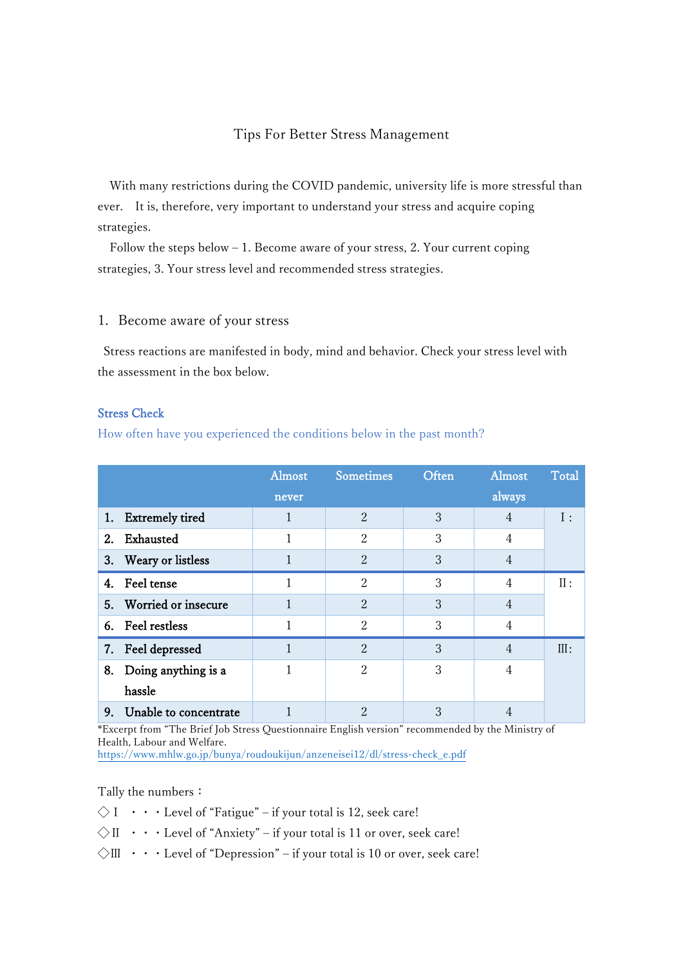### Tips For Better Stress Management

With many restrictions during the COVID pandemic, university life is more stressful than ever. It is, therefore, very important to understand your stress and acquire coping strategies.

Follow the steps below  $-1$ . Become aware of your stress, 2. Your current coping strategies, 3. Your stress level and recommended stress strategies.

#### 1. Become aware of your stress

Stress reactions are manifested in body, mind and behavior. Check your stress level with the assessment in the box below.

#### Stress Check

How often have you experienced the conditions below in the past month?

|    |                       | Almost | <b>Sometimes</b>            | Often | Almost | Total |
|----|-----------------------|--------|-----------------------------|-------|--------|-------|
|    |                       | never  |                             |       | always |       |
|    | 1. Extremely tired    | 1      | $\overline{2}$              | 3     | 4      | I:    |
| 2. | Exhausted             | 1      | 2                           | 3     | 4      |       |
| 3. | Weary or listless     |        | $\overline{2}$              | 3     | 4      |       |
| 4. | Feel tense            | 1      | $\overline{2}$              | 3     | 4      | II:   |
| 5. | Worried or insecure   |        | $\mathcal{D}_{\mathcal{L}}$ | 3     | 4      |       |
|    | 6. Feel restless      | 1      | $\mathcal{D}_{\mathcal{L}}$ | 3     | 4      |       |
|    | 7. Feel depressed     | 1      | $\overline{2}$              | 3     | 4      | III:  |
| 8. | Doing anything is a   | 1      | 2                           | 3     | 4      |       |
|    | hassle                |        |                             |       |        |       |
| 9. | Unable to concentrate |        | $\mathfrak{D}$              | 3     |        |       |

\*Excerpt from "The Brief Job Stress Questionnaire English version" recommended by the Ministry of Health, Labour and Welfare.

[https://www.mhlw.go.jp/bunya/roudoukijun/anzeneisei12/dl/stress-check\\_e.pdf](https://www.mhlw.go.jp/bunya/roudoukijun/anzeneisei12/dl/stress-check_e.pdf)

Tally the numbers:

 $\Diamond$  I  $\cdots$  Level of "Fatigue" – if your total is 12, seek care!

 $\Diamond$  II  $\cdots$  Level of "Anxiety" – if your total is 11 or over, seek care!

 $\Diamond$ III  $\cdot \cdot \cdot$  Level of "Depression" – if your total is 10 or over, seek care!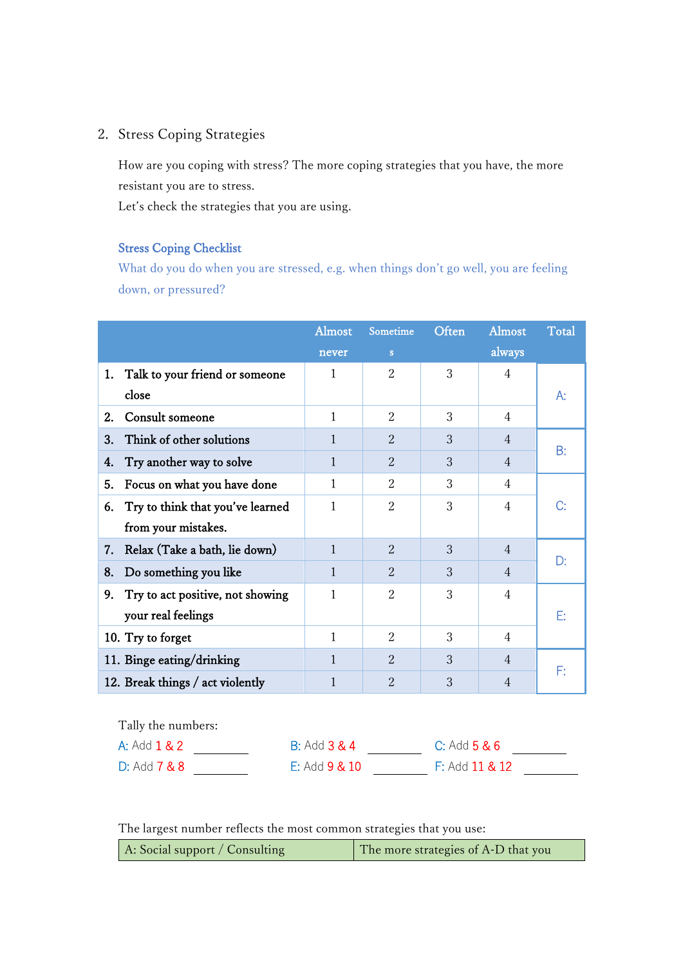# 2. Stress Coping Strategies

How are you coping with stress? The more coping strategies that you have, the more resistant you are to stress.

Let's check the strategies that you are using.

### Stress Coping Checklist

What do you do when you are stressed, e.g. when things don't go well, you are feeling down, or pressured?

|                    |                                  | Almost                  | Sometime       | Often            | Almost         | <b>Total</b> |
|--------------------|----------------------------------|-------------------------|----------------|------------------|----------------|--------------|
|                    |                                  | never                   | S              |                  | always         |              |
| 1.                 | Talk to your friend or someone   | 1                       | $\overline{2}$ | 3                | $\overline{4}$ |              |
|                    | close                            |                         |                |                  |                | А:           |
| 2.                 | Consult someone                  | $\mathbf{1}$            | $\overline{2}$ | 3                | $\overline{4}$ |              |
| 3.                 | Think of other solutions         | 1                       | $\overline{2}$ | 3                | $\overline{4}$ | B:           |
| 4.                 | Try another way to solve         | $\mathbf{1}$            | $\overline{2}$ | 3                | $\overline{4}$ |              |
| 5.                 | Focus on what you have done      | $\mathbf{1}$            | $\overline{2}$ | 3                | 4              |              |
| 6.                 | Try to think that you've learned | 1                       | $\overline{2}$ | 3                | $\overline{4}$ | C:           |
|                    | from your mistakes.              |                         |                |                  |                |              |
| 7.                 | Relax (Take a bath, lie down)    | $\mathbf{1}$            | $\overline{2}$ | 3                | $\overline{4}$ |              |
| 8.                 | Do something you like            | $\mathbf{1}$            | $\overline{2}$ | 3                | $\overline{4}$ | D:           |
| 9.                 | Try to act positive, not showing | $\mathbf{1}$            | $\overline{2}$ | 3                | 4              |              |
|                    | your real feelings               |                         |                |                  |                | E:           |
|                    | 10. Try to forget                | 1                       | $\overline{2}$ | 3                | $\overline{4}$ |              |
|                    | 11. Binge eating/drinking        | $\mathbf{1}$            | $\overline{2}$ | 3                | $\overline{4}$ |              |
|                    | 12. Break things / act violently | $\mathbf{1}$            | $\overline{2}$ | 3                | $\overline{4}$ | F:           |
|                    |                                  |                         |                |                  |                |              |
| Tally the numbers: |                                  |                         |                |                  |                |              |
|                    | A: Add 1 & 2                     | <b>B: Add 3 &amp; 4</b> |                | $C:$ Add $5 & 6$ |                |              |

D: Add **7 & 8** E: Add **9 & 10** F: Add **11 & 12** 

|  |  |  |  |  |  |  | The largest number reflects the most common strategies that you use: |
|--|--|--|--|--|--|--|----------------------------------------------------------------------|
|--|--|--|--|--|--|--|----------------------------------------------------------------------|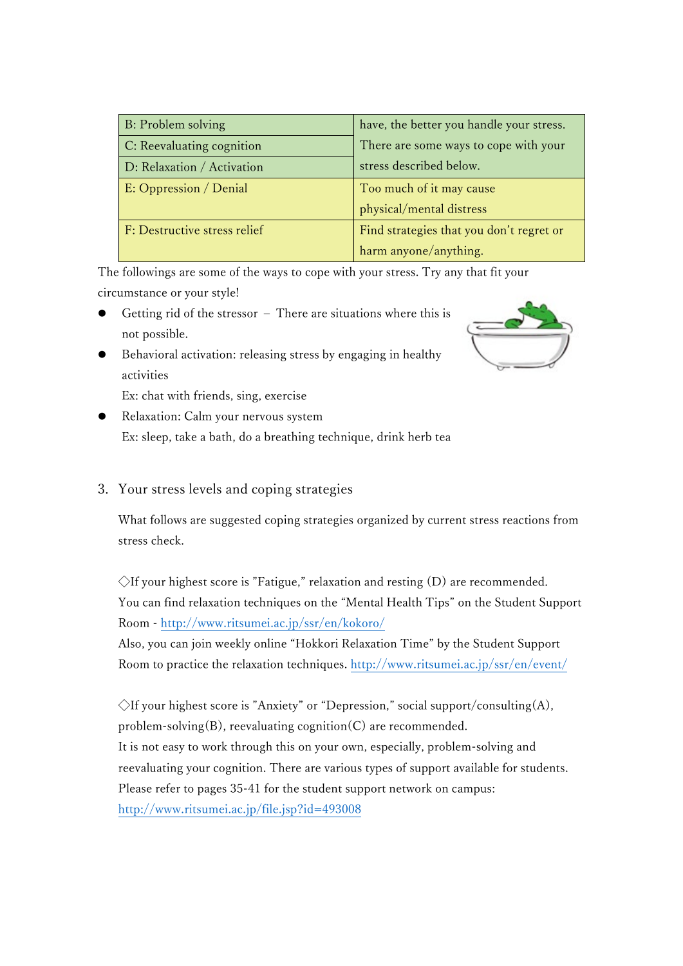| B: Problem solving           | have, the better you handle your stress. |  |
|------------------------------|------------------------------------------|--|
| C: Reevaluating cognition    | There are some ways to cope with your    |  |
| D: Relaxation / Activation   | stress described below.                  |  |
| E: Oppression / Denial       | Too much of it may cause                 |  |
|                              | physical/mental distress                 |  |
| F: Destructive stress relief | Find strategies that you don't regret or |  |
|                              | harm anyone/anything.                    |  |

The followings are some of the ways to cope with your stress. Try any that fit your circumstance or your style!

- Getting rid of the stressor There are situations where this is not possible.
	- Behavioral activation: releasing stress by engaging in healthy activities

Ex: chat with friends, sing, exercise

 Relaxation: Calm your nervous system Ex: sleep, take a bath, do a breathing technique, drink herb tea

# 3. Your stress levels and coping strategies

What follows are suggested coping strategies organized by current stress reactions from stress check.

 $\Diamond$ If your highest score is "Fatigue," relaxation and resting (D) are recommended. You can find relaxation techniques on the "Mental Health Tips" on the Student Support Room - <http://www.ritsumei.ac.jp/ssr/en/kokoro/>

Also, you can join weekly online "Hokkori Relaxation Time" by the Student Support Room to practice the relaxation techniques. <http://www.ritsumei.ac.jp/ssr/en/event/>

 $\Diamond$ If your highest score is "Anxiety" or "Depression," social support/consulting(A), problem-solving(B), reevaluating cognition(C) are recommended. It is not easy to work through this on your own, especially, problem-solving and reevaluating your cognition. There are various types of support available for students. Please refer to pages 35-41 for the student support network on campus: <http://www.ritsumei.ac.jp/file.jsp?id=493008>